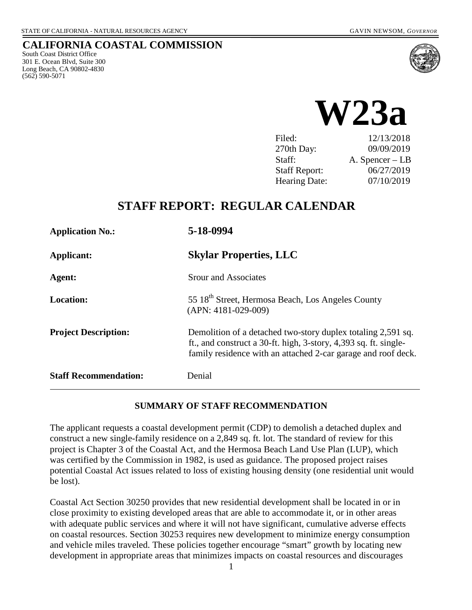### **CALIFORNIA COASTAL COMMISSION**

South Coast District Office 301 E. Ocean Blvd, Suite 300 Long Beach, CA 90802-4830 (562) 590-5071





| Filed:               | 12/13/2018      |
|----------------------|-----------------|
| 270th Day:           | 09/09/2019      |
| Staff:               | A. Spencer – LB |
| <b>Staff Report:</b> | 06/27/2019      |
| <b>Hearing Date:</b> | 07/10/2019      |

## **STAFF REPORT: REGULAR CALENDAR**

| <b>Application No.:</b>      | 5-18-0994                                                                                                                                                                                         |  |  |
|------------------------------|---------------------------------------------------------------------------------------------------------------------------------------------------------------------------------------------------|--|--|
| Applicant:                   | <b>Skylar Properties, LLC</b>                                                                                                                                                                     |  |  |
| Agent:                       | <b>Srour and Associates</b>                                                                                                                                                                       |  |  |
| <b>Location:</b>             | 55 18 <sup>th</sup> Street, Hermosa Beach, Los Angeles County<br>$(APN: 4181-029-009)$                                                                                                            |  |  |
| <b>Project Description:</b>  | Demolition of a detached two-story duplex totaling 2,591 sq.<br>ft., and construct a 30-ft. high, 3-story, 4,393 sq. ft. single-<br>family residence with an attached 2-car garage and roof deck. |  |  |
| <b>Staff Recommendation:</b> | Denial                                                                                                                                                                                            |  |  |

#### **SUMMARY OF STAFF RECOMMENDATION**

The applicant requests a coastal development permit (CDP) to demolish a detached duplex and construct a new single-family residence on a 2,849 sq. ft. lot. The standard of review for this project is Chapter 3 of the Coastal Act, and the Hermosa Beach Land Use Plan (LUP), which was certified by the Commission in 1982, is used as guidance. The proposed project raises potential Coastal Act issues related to loss of existing housing density (one residential unit would be lost).

Coastal Act Section 30250 provides that new residential development shall be located in or in close proximity to existing developed areas that are able to accommodate it, or in other areas with adequate public services and where it will not have significant, cumulative adverse effects on coastal resources. Section 30253 requires new development to minimize energy consumption and vehicle miles traveled. These policies together encourage "smart" growth by locating new development in appropriate areas that minimizes impacts on coastal resources and discourages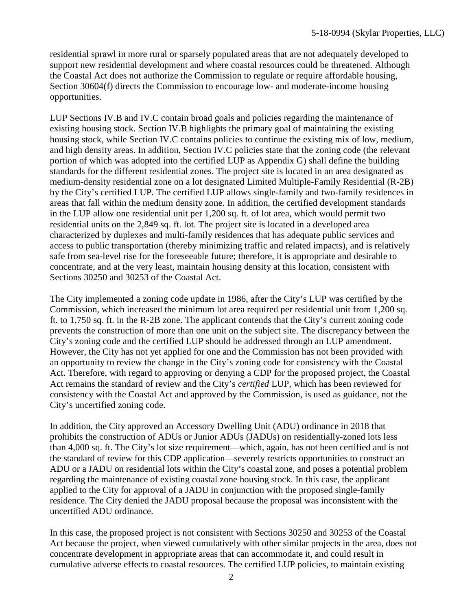residential sprawl in more rural or sparsely populated areas that are not adequately developed to support new residential development and where coastal resources could be threatened. Although the Coastal Act does not authorize the Commission to regulate or require affordable housing, Section 30604(f) directs the Commission to encourage low- and moderate-income housing opportunities.

LUP Sections IV.B and IV.C contain broad goals and policies regarding the maintenance of existing housing stock. Section IV.B highlights the primary goal of maintaining the existing housing stock, while Section IV.C contains policies to continue the existing mix of low, medium, and high density areas. In addition, Section IV.C policies state that the zoning code (the relevant portion of which was adopted into the certified LUP as Appendix G) shall define the building standards for the different residential zones. The project site is located in an area designated as medium-density residential zone on a lot designated Limited Multiple-Family Residential (R-2B) by the City's certified LUP. The certified LUP allows single-family and two-family residences in areas that fall within the medium density zone. In addition, the certified development standards in the LUP allow one residential unit per 1,200 sq. ft. of lot area, which would permit two residential units on the 2,849 sq. ft. lot. The project site is located in a developed area characterized by duplexes and multi-family residences that has adequate public services and access to public transportation (thereby minimizing traffic and related impacts), and is relatively safe from sea-level rise for the foreseeable future; therefore, it is appropriate and desirable to concentrate, and at the very least, maintain housing density at this location, consistent with Sections 30250 and 30253 of the Coastal Act.

The City implemented a zoning code update in 1986, after the City's LUP was certified by the Commission, which increased the minimum lot area required per residential unit from 1,200 sq. ft. to 1,750 sq. ft. in the R-2B zone. The applicant contends that the City's current zoning code prevents the construction of more than one unit on the subject site. The discrepancy between the City's zoning code and the certified LUP should be addressed through an LUP amendment. However, the City has not yet applied for one and the Commission has not been provided with an opportunity to review the change in the City's zoning code for consistency with the Coastal Act. Therefore, with regard to approving or denying a CDP for the proposed project, the Coastal Act remains the standard of review and the City's *certified* LUP, which has been reviewed for consistency with the Coastal Act and approved by the Commission, is used as guidance, not the City's uncertified zoning code.

In addition, the City approved an Accessory Dwelling Unit (ADU) ordinance in 2018 that prohibits the construction of ADUs or Junior ADUs (JADUs) on residentially-zoned lots less than 4,000 sq. ft. The City's lot size requirement—which, again, has not been certified and is not the standard of review for this CDP application—severely restricts opportunities to construct an ADU or a JADU on residential lots within the City's coastal zone, and poses a potential problem regarding the maintenance of existing coastal zone housing stock. In this case, the applicant applied to the City for approval of a JADU in conjunction with the proposed single-family residence. The City denied the JADU proposal because the proposal was inconsistent with the uncertified ADU ordinance.

In this case, the proposed project is not consistent with Sections 30250 and 30253 of the Coastal Act because the project, when viewed cumulatively with other similar projects in the area, does not concentrate development in appropriate areas that can accommodate it, and could result in cumulative adverse effects to coastal resources. The certified LUP policies, to maintain existing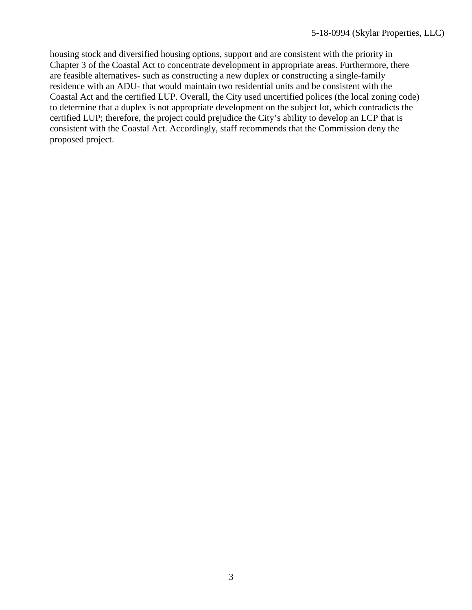housing stock and diversified housing options, support and are consistent with the priority in Chapter 3 of the Coastal Act to concentrate development in appropriate areas. Furthermore, there are feasible alternatives- such as constructing a new duplex or constructing a single-family residence with an ADU- that would maintain two residential units and be consistent with the Coastal Act and the certified LUP. Overall, the City used uncertified polices (the local zoning code) to determine that a duplex is not appropriate development on the subject lot, which contradicts the certified LUP; therefore, the project could prejudice the City's ability to develop an LCP that is consistent with the Coastal Act. Accordingly, staff recommends that the Commission deny the proposed project.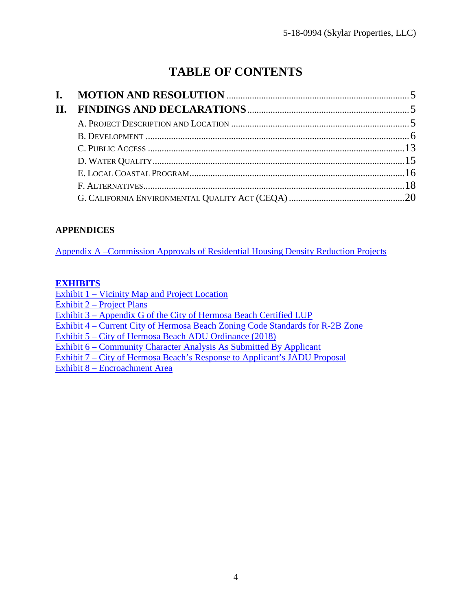# **TABLE OF CONTENTS**

| L.  |  |
|-----|--|
| II. |  |
|     |  |
|     |  |
|     |  |
|     |  |
|     |  |
|     |  |
|     |  |

## **APPENDICES**

[Appendix A –Commission Approvals of Residential Housing Density Reduction Projects](#page-20-0)

### **[EXHIBITS](https://documents.coastal.ca.gov/reports/2019/7/w23a/w23a-7-2019-exhibits.pdf)**

[Exhibit 1 – Vicinity Map and Project Location](https://documents.coastal.ca.gov/reports/2019/7/w23a/w23a-7-2019-exhibits.pdf)

[Exhibit 2 – Project Plans](https://documents.coastal.ca.gov/reports/2019/7/w23a/w23a-7-2019-exhibits.pdf)

[Exhibit 3 – Appendix G of the City of Hermosa Beach Certified LUP](https://documents.coastal.ca.gov/reports/2019/7/w23a/w23a-7-2019-exhibits.pdf)

[Exhibit 4 – Current City of Hermosa Beach Zoning Code Standards for R-2B Zone](https://documents.coastal.ca.gov/reports/2019/7/w23a/w23a-7-2019-exhibits.pdf)

[Exhibit 5 – City of Hermosa Beach ADU Ordinance \(2018\)](https://documents.coastal.ca.gov/reports/2019/7/w23a/w23a-7-2019-exhibits.pdf) 

[Exhibit 6 – Community Character Analysis As Submitted By Applicant](https://documents.coastal.ca.gov/reports/2019/7/w23a/w23a-7-2019-exhibits.pdf) 

[Exhibit 7 – City of Hermosa Beach's Response to Applicant's JADU Proposal](https://documents.coastal.ca.gov/reports/2019/7/w23a/w23a-7-2019-exhibits.pdf) 

[Exhibit 8 – Encroachment Area](https://documents.coastal.ca.gov/reports/2019/7/w23a/w23a-7-2019-exhibits.pdf)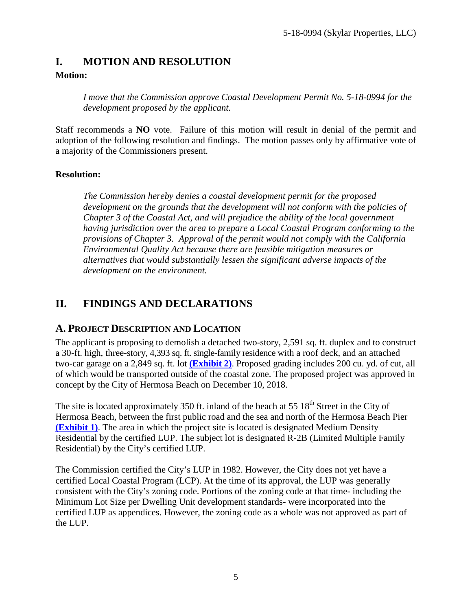## <span id="page-4-0"></span>**I. MOTION AND RESOLUTION**

### **Motion:**

*I move that the Commission approve Coastal Development Permit No. 5-18-0994 for the development proposed by the applicant.* 

Staff recommends a **NO** vote. Failure of this motion will result in denial of the permit and adoption of the following resolution and findings. The motion passes only by affirmative vote of a majority of the Commissioners present.

## **Resolution:**

*The Commission hereby denies a coastal development permit for the proposed development on the grounds that the development will not conform with the policies of Chapter 3 of the Coastal Act, and will prejudice the ability of the local government having jurisdiction over the area to prepare a Local Coastal Program conforming to the provisions of Chapter 3. Approval of the permit would not comply with the California Environmental Quality Act because there are feasible mitigation measures or alternatives that would substantially lessen the significant adverse impacts of the development on the environment.*

## <span id="page-4-1"></span>**II. FINDINGS AND DECLARATIONS**

## <span id="page-4-2"></span>**A. PROJECT DESCRIPTION AND LOCATION**

The applicant is proposing to demolish a detached two-story, 2,591 sq. ft. duplex and to construct a 30-ft. high, three-story, 4,393 sq. ft. single-family residence with a roof deck, and an attached two-car garage on a 2,849 sq. ft. lot **[\(Exhibit 2\)](https://documents.coastal.ca.gov/reports/2019/7/w23a/w23a-7-2019-exhibits.pdf)**. Proposed grading includes 200 cu. yd. of cut, all of which would be transported outside of the coastal zone. The proposed project was approved in concept by the City of Hermosa Beach on December 10, 2018.

The site is located approximately 350 ft. inland of the beach at 55  $18<sup>th</sup>$  Street in the City of Hermosa Beach, between the first public road and the sea and north of the Hermosa Beach Pier **[\(Exhibit 1\)](https://documents.coastal.ca.gov/reports/2019/7/w23a/w23a-7-2019-exhibits.pdf)**. The area in which the project site is located is designated Medium Density Residential by the certified LUP. The subject lot is designated R-2B (Limited Multiple Family Residential) by the City's certified LUP.

The Commission certified the City's LUP in 1982. However, the City does not yet have a certified Local Coastal Program (LCP). At the time of its approval, the LUP was generally consistent with the City's zoning code. Portions of the zoning code at that time- including the Minimum Lot Size per Dwelling Unit development standards- were incorporated into the certified LUP as appendices. However, the zoning code as a whole was not approved as part of the LUP.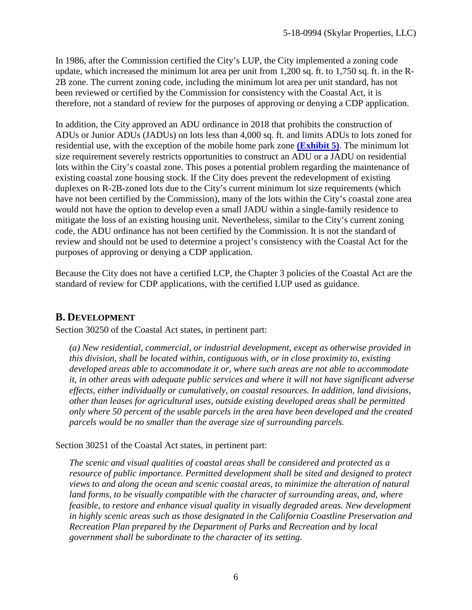In 1986, after the Commission certified the City's LUP, the City implemented a zoning code update, which increased the minimum lot area per unit from 1,200 sq. ft. to 1,750 sq. ft. in the R-2B zone. The current zoning code, including the minimum lot area per unit standard, has not been reviewed or certified by the Commission for consistency with the Coastal Act, it is therefore, not a standard of review for the purposes of approving or denying a CDP application.

In addition, the City approved an ADU ordinance in 2018 that prohibits the construction of ADUs or Junior ADUs (JADUs) on lots less than 4,000 sq. ft. and limits ADUs to lots zoned for residential use, with the exception of the mobile home park zone **[\(Exhibit 5\)](https://documents.coastal.ca.gov/reports/2019/7/w23a/w23a-7-2019-exhibits.pdf)**. The minimum lot size requirement severely restricts opportunities to construct an ADU or a JADU on residential lots within the City's coastal zone. This poses a potential problem regarding the maintenance of existing coastal zone housing stock. If the City does prevent the redevelopment of existing duplexes on R-2B-zoned lots due to the City's current minimum lot size requirements (which have not been certified by the Commission), many of the lots within the City's coastal zone area would not have the option to develop even a small JADU within a single-family residence to mitigate the loss of an existing housing unit. Nevertheless, similar to the City's current zoning code, the ADU ordinance has not been certified by the Commission. It is not the standard of review and should not be used to determine a project's consistency with the Coastal Act for the purposes of approving or denying a CDP application.

Because the City does not have a certified LCP, the Chapter 3 policies of the Coastal Act are the standard of review for CDP applications, with the certified LUP used as guidance.

## <span id="page-5-0"></span>**B. DEVELOPMENT**

Section 30250 of the Coastal Act states, in pertinent part:

*(a) New residential, commercial, or industrial development, except as otherwise provided in this division, shall be located within, contiguous with, or in close proximity to, existing developed areas able to accommodate it or, where such areas are not able to accommodate it, in other areas with adequate public services and where it will not have significant adverse effects, either individually or cumulatively, on coastal resources. In addition, land divisions, other than leases for agricultural uses, outside existing developed areas shall be permitted only where 50 percent of the usable parcels in the area have been developed and the created parcels would be no smaller than the average size of surrounding parcels.* 

Section 30251 of the Coastal Act states, in pertinent part:

*The scenic and visual qualities of coastal areas shall be considered and protected as a resource of public importance. Permitted development shall be sited and designed to protect views to and along the ocean and scenic coastal areas, to minimize the alteration of natural*  land forms, to be visually compatible with the character of surrounding areas, and, where *feasible, to restore and enhance visual quality in visually degraded areas. New development in highly scenic areas such as those designated in the California Coastline Preservation and Recreation Plan prepared by the Department of Parks and Recreation and by local government shall be subordinate to the character of its setting.*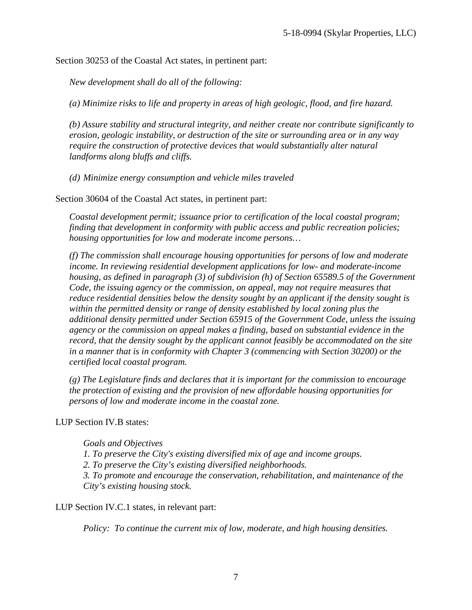Section 30253 of the Coastal Act states, in pertinent part:

*New development shall do all of the following:* 

*(a) Minimize risks to life and property in areas of high geologic, flood, and fire hazard.* 

*(b) Assure stability and structural integrity, and neither create nor contribute significantly to erosion, geologic instability, or destruction of the site or surrounding area or in any way require the construction of protective devices that would substantially alter natural landforms along bluffs and cliffs.* 

*(d) Minimize energy consumption and vehicle miles traveled* 

Section 30604 of the Coastal Act states, in pertinent part:

*Coastal development permit; issuance prior to certification of the local coastal program; finding that development in conformity with public access and public recreation policies; housing opportunities for low and moderate income persons…* 

*(f) The commission shall encourage housing opportunities for persons of low and moderate income. In reviewing residential development applications for low- and moderate-income housing, as defined in paragraph (3) of subdivision (h) of Section 65589.5 of the Government Code, the issuing agency or the commission, on appeal, may not require measures that reduce residential densities below the density sought by an applicant if the density sought is within the permitted density or range of density established by local zoning plus the additional density permitted under Section 65915 of the Government Code, unless the issuing agency or the commission on appeal makes a finding, based on substantial evidence in the record, that the density sought by the applicant cannot feasibly be accommodated on the site in a manner that is in conformity with Chapter 3 (commencing with Section 30200) or the certified local coastal program.* 

*(g) The Legislature finds and declares that it is important for the commission to encourage the protection of existing and the provision of new affordable housing opportunities for persons of low and moderate income in the coastal zone.* 

LUP Section IV.B states:

*Goals and Objectives 1. To preserve the City's existing diversified mix of age and income groups. 2. To preserve the City's existing diversified neighborhoods. 3. To promote and encourage the conservation, rehabilitation, and maintenance of the City's existing housing stock.* 

LUP Section IV.C.1 states, in relevant part:

*Policy: To continue the current mix of low, moderate, and high housing densities.*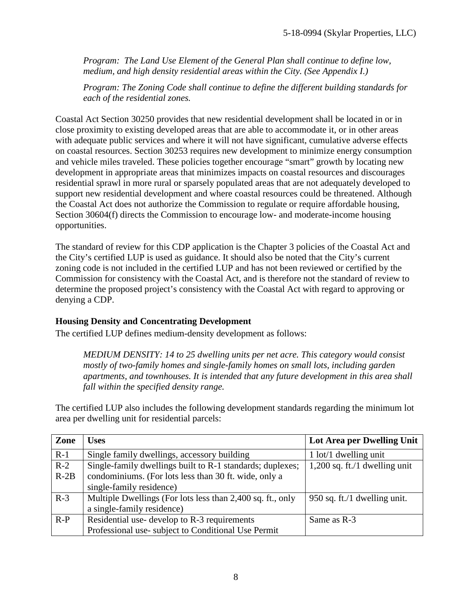*Program: The Land Use Element of the General Plan shall continue to define low, medium, and high density residential areas within the City. (See Appendix I.)* 

*Program: The Zoning Code shall continue to define the different building standards for each of the residential zones.* 

Coastal Act Section 30250 provides that new residential development shall be located in or in close proximity to existing developed areas that are able to accommodate it, or in other areas with adequate public services and where it will not have significant, cumulative adverse effects on coastal resources. Section 30253 requires new development to minimize energy consumption and vehicle miles traveled. These policies together encourage "smart" growth by locating new development in appropriate areas that minimizes impacts on coastal resources and discourages residential sprawl in more rural or sparsely populated areas that are not adequately developed to support new residential development and where coastal resources could be threatened. Although the Coastal Act does not authorize the Commission to regulate or require affordable housing, Section 30604(f) directs the Commission to encourage low- and moderate-income housing opportunities.

The standard of review for this CDP application is the Chapter 3 policies of the Coastal Act and the City's certified LUP is used as guidance. It should also be noted that the City's current zoning code is not included in the certified LUP and has not been reviewed or certified by the Commission for consistency with the Coastal Act, and is therefore not the standard of review to determine the proposed project's consistency with the Coastal Act with regard to approving or denying a CDP.

### **Housing Density and Concentrating Development**

The certified LUP defines medium-density development as follows:

*MEDIUM DENSITY: 14 to 25 dwelling units per net acre. This category would consist mostly of two-family homes and single-family homes on small lots, including garden apartments, and townhouses. It is intended that any future development in this area shall fall within the specified density range.* 

The certified LUP also includes the following development standards regarding the minimum lot area per dwelling unit for residential parcels:

| Zone   | <b>Uses</b>                                                | Lot Area per Dwelling Unit      |  |
|--------|------------------------------------------------------------|---------------------------------|--|
| $R-1$  | Single family dwellings, accessory building                | $1$ lot/ $1$ dwelling unit      |  |
| $R-2$  | Single-family dwellings built to R-1 standards; duplexes;  | $1,200$ sq. ft./1 dwelling unit |  |
| $R-2B$ | condominiums. (For lots less than 30 ft. wide, only a      |                                 |  |
|        | single-family residence)                                   |                                 |  |
| $R-3$  | Multiple Dwellings (For lots less than 2,400 sq. ft., only | 950 sq. ft./1 dwelling unit.    |  |
|        | a single-family residence)                                 |                                 |  |
| $R-P$  | Residential use- develop to R-3 requirements               | Same as R-3                     |  |
|        | Professional use-subject to Conditional Use Permit         |                                 |  |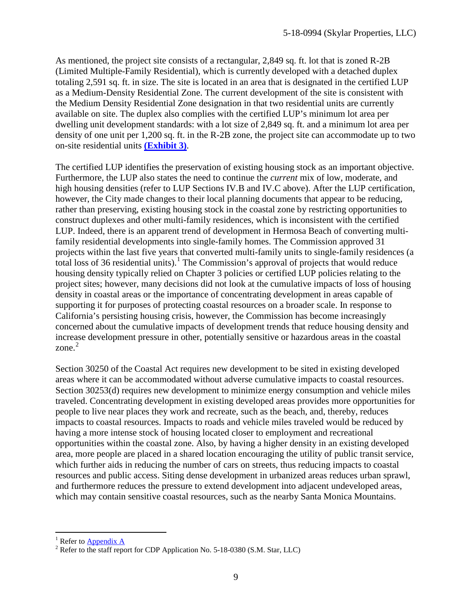As mentioned, the project site consists of a rectangular, 2,849 sq. ft. lot that is zoned R-2B (Limited Multiple-Family Residential), which is currently developed with a detached duplex totaling 2,591 sq. ft. in size. The site is located in an area that is designated in the certified LUP as a Medium-Density Residential Zone. The current development of the site is consistent with the Medium Density Residential Zone designation in that two residential units are currently available on site. The duplex also complies with the certified LUP's minimum lot area per dwelling unit development standards: with a lot size of 2,849 sq. ft. and a minimum lot area per density of one unit per 1,200 sq. ft. in the R-2B zone, the project site can accommodate up to two on-site residential units **[\(Exhibit 3\)](https://documents.coastal.ca.gov/reports/2019/7/w23a/w23a-7-2019-exhibits.pdf)**.

The certified LUP identifies the preservation of existing housing stock as an important objective. Furthermore, the LUP also states the need to continue the *current* mix of low, moderate, and high housing densities (refer to LUP Sections IV.B and IV.C above). After the LUP certification, however, the City made changes to their local planning documents that appear to be reducing, rather than preserving, existing housing stock in the coastal zone by restricting opportunities to construct duplexes and other multi-family residences, which is inconsistent with the certified LUP. Indeed, there is an apparent trend of development in Hermosa Beach of converting multifamily residential developments into single-family homes. The Commission approved 31 projects within the last five years that converted multi-family units to single-family residences (a total loss of 36 residential units).<sup>[1](#page-8-0)</sup> The Commission's approval of projects that would reduce housing density typically relied on Chapter 3 policies or certified LUP policies relating to the project sites; however, many decisions did not look at the cumulative impacts of loss of housing density in coastal areas or the importance of concentrating development in areas capable of supporting it for purposes of protecting coastal resources on a broader scale. In response to California's persisting housing crisis, however, the Commission has become increasingly concerned about the cumulative impacts of development trends that reduce housing density and increase development pressure in other, potentially sensitive or hazardous areas in the coastal zone. [2](#page-8-1)

Section 30250 of the Coastal Act requires new development to be sited in existing developed areas where it can be accommodated without adverse cumulative impacts to coastal resources. Section 30253(d) requires new development to minimize energy consumption and vehicle miles traveled. Concentrating development in existing developed areas provides more opportunities for people to live near places they work and recreate, such as the beach, and, thereby, reduces impacts to coastal resources. Impacts to roads and vehicle miles traveled would be reduced by having a more intense stock of housing located closer to employment and recreational opportunities within the coastal zone. Also, by having a higher density in an existing developed area, more people are placed in a shared location encouraging the utility of public transit service, which further aids in reducing the number of cars on streets, thus reducing impacts to coastal resources and public access. Siting dense development in urbanized areas reduces urban sprawl, and furthermore reduces the pressure to extend development into adjacent undeveloped areas, which may contain sensitive coastal resources, such as the nearby Santa Monica Mountains.

<span id="page-8-0"></span><sup>&</sup>lt;sup>1</sup> Refer to Appendix A

<span id="page-8-1"></span> $1<sup>2</sup>$  Refer to the staff report for CDP Application No. 5-18-0380 (S.M. Star, LLC)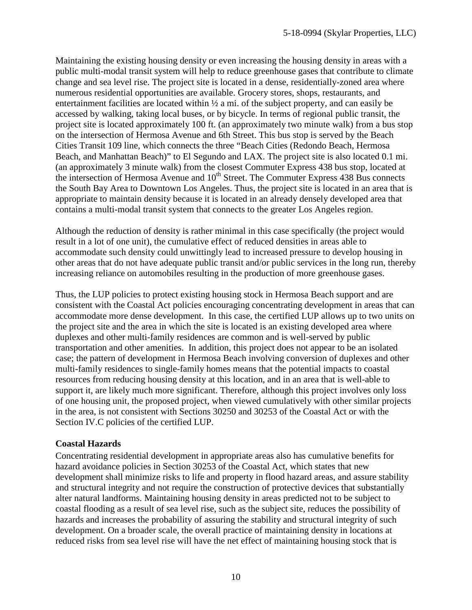Maintaining the existing housing density or even increasing the housing density in areas with a public multi-modal transit system will help to reduce greenhouse gases that contribute to climate change and sea level rise. The project site is located in a dense, residentially-zoned area where numerous residential opportunities are available. Grocery stores, shops, restaurants, and entertainment facilities are located within ½ a mi. of the subject property, and can easily be accessed by walking, taking local buses, or by bicycle. In terms of regional public transit, the project site is located approximately 100 ft. (an approximately two minute walk) from a bus stop on the intersection of Hermosa Avenue and 6th Street. This bus stop is served by the Beach Cities Transit 109 line, which connects the three "Beach Cities (Redondo Beach, Hermosa Beach, and Manhattan Beach)" to El Segundo and LAX. The project site is also located 0.1 mi. (an approximately 3 minute walk) from the closest Commuter Express 438 bus stop, located at the intersection of Hermosa Avenue and  $10<sup>th</sup>$  Street. The Commuter Express 438 Bus connects the South Bay Area to Downtown Los Angeles. Thus, the project site is located in an area that is appropriate to maintain density because it is located in an already densely developed area that contains a multi-modal transit system that connects to the greater Los Angeles region.

Although the reduction of density is rather minimal in this case specifically (the project would result in a lot of one unit), the cumulative effect of reduced densities in areas able to accommodate such density could unwittingly lead to increased pressure to develop housing in other areas that do not have adequate public transit and/or public services in the long run, thereby increasing reliance on automobiles resulting in the production of more greenhouse gases.

Thus, the LUP policies to protect existing housing stock in Hermosa Beach support and are consistent with the Coastal Act policies encouraging concentrating development in areas that can accommodate more dense development. In this case, the certified LUP allows up to two units on the project site and the area in which the site is located is an existing developed area where duplexes and other multi-family residences are common and is well-served by public transportation and other amenities. In addition, this project does not appear to be an isolated case; the pattern of development in Hermosa Beach involving conversion of duplexes and other multi-family residences to single-family homes means that the potential impacts to coastal resources from reducing housing density at this location, and in an area that is well-able to support it, are likely much more significant. Therefore, although this project involves only loss of one housing unit, the proposed project, when viewed cumulatively with other similar projects in the area, is not consistent with Sections 30250 and 30253 of the Coastal Act or with the Section IV.C policies of the certified LUP.

### **Coastal Hazards**

Concentrating residential development in appropriate areas also has cumulative benefits for hazard avoidance policies in Section 30253 of the Coastal Act, which states that new development shall minimize risks to life and property in flood hazard areas, and assure stability and structural integrity and not require the construction of protective devices that substantially alter natural landforms. Maintaining housing density in areas predicted not to be subject to coastal flooding as a result of sea level rise, such as the subject site, reduces the possibility of hazards and increases the probability of assuring the stability and structural integrity of such development. On a broader scale, the overall practice of maintaining density in locations at reduced risks from sea level rise will have the net effect of maintaining housing stock that is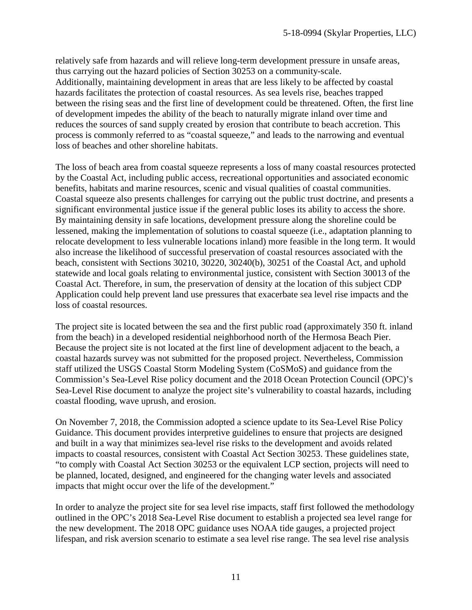relatively safe from hazards and will relieve long-term development pressure in unsafe areas, thus carrying out the hazard policies of Section 30253 on a community-scale. Additionally, maintaining development in areas that are less likely to be affected by coastal hazards facilitates the protection of coastal resources. As sea levels rise, beaches trapped between the rising seas and the first line of development could be threatened. Often, the first line of development impedes the ability of the beach to naturally migrate inland over time and reduces the sources of sand supply created by erosion that contribute to beach accretion. This process is commonly referred to as "coastal squeeze," and leads to the narrowing and eventual loss of beaches and other shoreline habitats.

The loss of beach area from coastal squeeze represents a loss of many coastal resources protected by the Coastal Act, including public access, recreational opportunities and associated economic benefits, habitats and marine resources, scenic and visual qualities of coastal communities. Coastal squeeze also presents challenges for carrying out the public trust doctrine, and presents a significant environmental justice issue if the general public loses its ability to access the shore. By maintaining density in safe locations, development pressure along the shoreline could be lessened, making the implementation of solutions to coastal squeeze (i.e., adaptation planning to relocate development to less vulnerable locations inland) more feasible in the long term. It would also increase the likelihood of successful preservation of coastal resources associated with the beach, consistent with Sections 30210, 30220, 30240(b), 30251 of the Coastal Act, and uphold statewide and local goals relating to environmental justice, consistent with Section 30013 of the Coastal Act. Therefore, in sum, the preservation of density at the location of this subject CDP Application could help prevent land use pressures that exacerbate sea level rise impacts and the loss of coastal resources.

The project site is located between the sea and the first public road (approximately 350 ft. inland from the beach) in a developed residential neighborhood north of the Hermosa Beach Pier. Because the project site is not located at the first line of development adjacent to the beach, a coastal hazards survey was not submitted for the proposed project. Nevertheless, Commission staff utilized the USGS Coastal Storm Modeling System (CoSMoS) and guidance from the Commission's Sea-Level Rise policy document and the 2018 Ocean Protection Council (OPC)'s Sea-Level Rise document to analyze the project site's vulnerability to coastal hazards, including coastal flooding, wave uprush, and erosion.

On November 7, 2018, the Commission adopted a science update to its Sea-Level Rise Policy Guidance. This document provides interpretive guidelines to ensure that projects are designed and built in a way that minimizes sea-level rise risks to the development and avoids related impacts to coastal resources, consistent with Coastal Act Section 30253. These guidelines state, "to comply with Coastal Act Section 30253 or the equivalent LCP section, projects will need to be planned, located, designed, and engineered for the changing water levels and associated impacts that might occur over the life of the development."

In order to analyze the project site for sea level rise impacts, staff first followed the methodology outlined in the OPC's 2018 Sea-Level Rise document to establish a projected sea level range for the new development. The 2018 OPC guidance uses NOAA tide gauges, a projected project lifespan, and risk aversion scenario to estimate a sea level rise range. The sea level rise analysis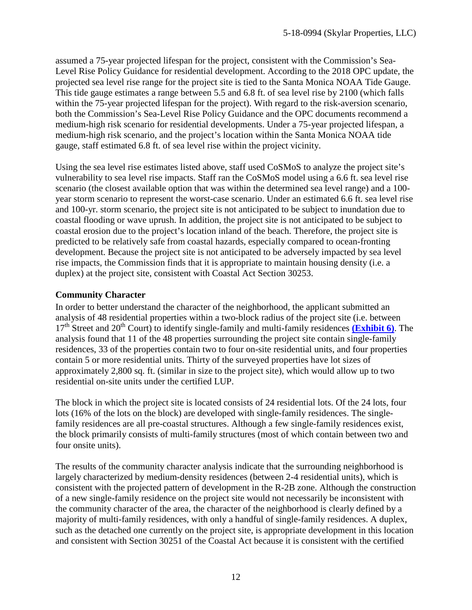assumed a 75-year projected lifespan for the project, consistent with the Commission's Sea-Level Rise Policy Guidance for residential development. According to the 2018 OPC update, the projected sea level rise range for the project site is tied to the Santa Monica NOAA Tide Gauge. This tide gauge estimates a range between 5.5 and 6.8 ft. of sea level rise by 2100 (which falls within the 75-year projected lifespan for the project). With regard to the risk-aversion scenario, both the Commission's Sea-Level Rise Policy Guidance and the OPC documents recommend a medium-high risk scenario for residential developments. Under a 75-year projected lifespan, a medium-high risk scenario, and the project's location within the Santa Monica NOAA tide gauge, staff estimated 6.8 ft. of sea level rise within the project vicinity.

Using the sea level rise estimates listed above, staff used CoSMoS to analyze the project site's vulnerability to sea level rise impacts. Staff ran the CoSMoS model using a 6.6 ft. sea level rise scenario (the closest available option that was within the determined sea level range) and a 100 year storm scenario to represent the worst-case scenario. Under an estimated 6.6 ft. sea level rise and 100-yr. storm scenario, the project site is not anticipated to be subject to inundation due to coastal flooding or wave uprush. In addition, the project site is not anticipated to be subject to coastal erosion due to the project's location inland of the beach. Therefore, the project site is predicted to be relatively safe from coastal hazards, especially compared to ocean-fronting development. Because the project site is not anticipated to be adversely impacted by sea level rise impacts, the Commission finds that it is appropriate to maintain housing density (i.e. a duplex) at the project site, consistent with Coastal Act Section 30253.

### **Community Character**

In order to better understand the character of the neighborhood, the applicant submitted an analysis of 48 residential properties within a two-block radius of the project site (i.e. between 17<sup>th</sup> Street and 20<sup>th</sup> Court) to identify single-family and multi-family residences **[\(Exhibit 6\)](https://documents.coastal.ca.gov/reports/2019/7/w23a/w23a-7-2019-exhibits.pdf)**. The analysis found that 11 of the 48 properties surrounding the project site contain single-family residences, 33 of the properties contain two to four on-site residential units, and four properties contain 5 or more residential units. Thirty of the surveyed properties have lot sizes of approximately 2,800 sq. ft. (similar in size to the project site), which would allow up to two residential on-site units under the certified LUP.

The block in which the project site is located consists of 24 residential lots. Of the 24 lots, four lots (16% of the lots on the block) are developed with single-family residences. The singlefamily residences are all pre-coastal structures. Although a few single-family residences exist, the block primarily consists of multi-family structures (most of which contain between two and four onsite units).

The results of the community character analysis indicate that the surrounding neighborhood is largely characterized by medium-density residences (between 2-4 residential units), which is consistent with the projected pattern of development in the R-2B zone. Although the construction of a new single-family residence on the project site would not necessarily be inconsistent with the community character of the area, the character of the neighborhood is clearly defined by a majority of multi-family residences, with only a handful of single-family residences. A duplex, such as the detached one currently on the project site, is appropriate development in this location and consistent with Section 30251 of the Coastal Act because it is consistent with the certified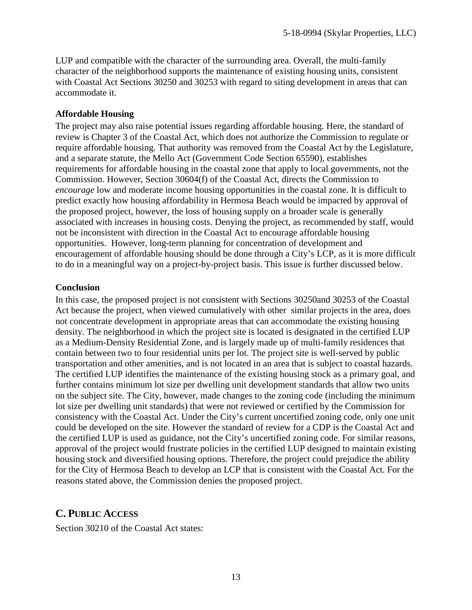LUP and compatible with the character of the surrounding area. Overall, the multi-family character of the neighborhood supports the maintenance of existing housing units, consistent with Coastal Act Sections 30250 and 30253 with regard to siting development in areas that can accommodate it.

#### **Affordable Housing**

The project may also raise potential issues regarding affordable housing. Here, the standard of review is Chapter 3 of the Coastal Act, which does not authorize the Commission to regulate or require affordable housing. That authority was removed from the Coastal Act by the Legislature, and a separate statute, the Mello Act (Government Code Section 65590), establishes requirements for affordable housing in the coastal zone that apply to local governments, not the Commission. However, Section 30604(f) of the Coastal Act, directs the Commission to *encourage* low and moderate income housing opportunities in the coastal zone. It is difficult to predict exactly how housing affordability in Hermosa Beach would be impacted by approval of the proposed project, however, the loss of housing supply on a broader scale is generally associated with increases in housing costs. Denying the project, as recommended by staff, would not be inconsistent with direction in the Coastal Act to encourage affordable housing opportunities. However, long-term planning for concentration of development and encouragement of affordable housing should be done through a City's LCP, as it is more difficult to do in a meaningful way on a project-by-project basis. This issue is further discussed below.

#### **Conclusion**

In this case, the proposed project is not consistent with Sections 30250and 30253 of the Coastal Act because the project, when viewed cumulatively with other similar projects in the area, does not concentrate development in appropriate areas that can accommodate the existing housing density. The neighborhood in which the project site is located is designated in the certified LUP as a Medium-Density Residential Zone, and is largely made up of multi-family residences that contain between two to four residential units per lot. The project site is well-served by public transportation and other amenities, and is not located in an area that is subject to coastal hazards. The certified LUP identifies the maintenance of the existing housing stock as a primary goal, and further contains minimum lot size per dwelling unit development standards that allow two units on the subject site. The City, however, made changes to the zoning code (including the minimum lot size per dwelling unit standards) that were not reviewed or certified by the Commission for consistency with the Coastal Act. Under the City's current uncertified zoning code, only one unit could be developed on the site. However the standard of review for a CDP is the Coastal Act and the certified LUP is used as guidance, not the City's uncertified zoning code. For similar reasons, approval of the project would frustrate policies in the certified LUP designed to maintain existing housing stock and diversified housing options. Therefore, the project could prejudice the ability for the City of Hermosa Beach to develop an LCP that is consistent with the Coastal Act. For the reasons stated above, the Commission denies the proposed project.

## <span id="page-12-0"></span>**C. PUBLIC ACCESS**

Section 30210 of the Coastal Act states: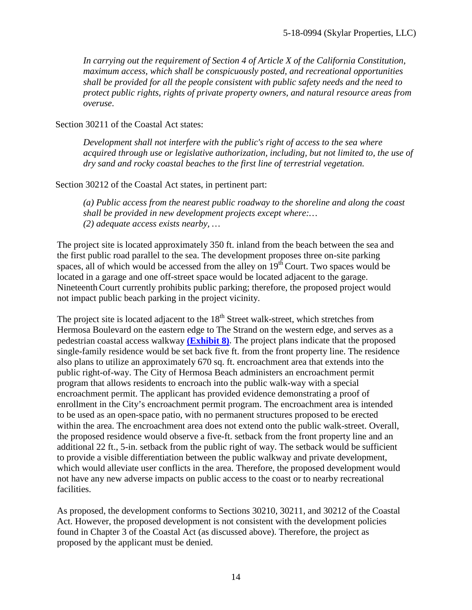*In carrying out the requirement of Section 4 of Article X of the California Constitution, maximum access, which shall be conspicuously posted, and recreational opportunities shall be provided for all the people consistent with public safety needs and the need to protect public rights, rights of private property owners, and natural resource areas from overuse*.

Section 30211 of the Coastal Act states:

*Development shall not interfere with the public's right of access to the sea where acquired through use or legislative authorization, including, but not limited to, the use of dry sand and rocky coastal beaches to the first line of terrestrial vegetation.* 

Section 30212 of the Coastal Act states, in pertinent part:

*(a) Public access from the nearest public roadway to the shoreline and along the coast shall be provided in new development projects except where:… (2) adequate access exists nearby, …*

The project site is located approximately 350 ft. inland from the beach between the sea and the first public road parallel to the sea. The development proposes three on-site parking spaces, all of which would be accessed from the alley on  $19<sup>th</sup>$  Court. Two spaces would be located in a garage and one off-street space would be located adjacent to the garage. Nineteenth Court currently prohibits public parking; therefore, the proposed project would not impact public beach parking in the project vicinity.

The project site is located adjacent to the  $18<sup>th</sup>$  Street walk-street, which stretches from Hermosa Boulevard on the eastern edge to The Strand on the western edge, and serves as a pedestrian coastal access walkway **[\(Exhibit 8\)](https://documents.coastal.ca.gov/reports/2019/7/w23a/w23a-7-2019-exhibits.pdf)**. The project plans indicate that the proposed single-family residence would be set back five ft. from the front property line. The residence also plans to utilize an approximately 670 sq. ft. encroachment area that extends into the public right-of-way. The City of Hermosa Beach administers an encroachment permit program that allows residents to encroach into the public walk-way with a special encroachment permit. The applicant has provided evidence demonstrating a proof of enrollment in the City's encroachment permit program. The encroachment area is intended to be used as an open-space patio, with no permanent structures proposed to be erected within the area. The encroachment area does not extend onto the public walk-street. Overall, the proposed residence would observe a five-ft. setback from the front property line and an additional 22 ft., 5-in. setback from the public right of way. The setback would be sufficient to provide a visible differentiation between the public walkway and private development, which would alleviate user conflicts in the area. Therefore, the proposed development would not have any new adverse impacts on public access to the coast or to nearby recreational facilities.

As proposed, the development conforms to Sections 30210, 30211, and 30212 of the Coastal Act. However, the proposed development is not consistent with the development policies found in Chapter 3 of the Coastal Act (as discussed above). Therefore, the project as proposed by the applicant must be denied.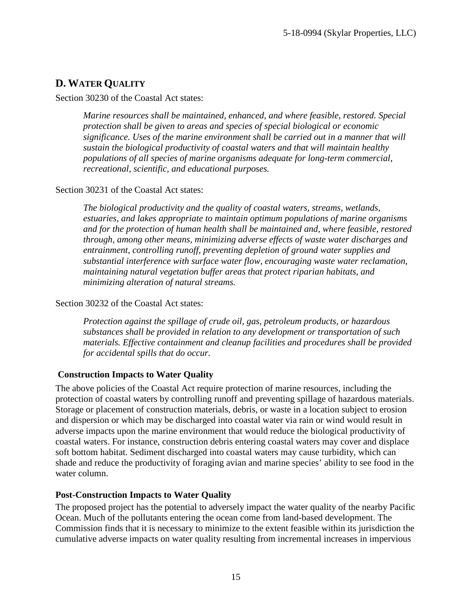## <span id="page-14-0"></span>**D. WATER QUALITY**

#### Section 30230 of the Coastal Act states:

*Marine resources shall be maintained, enhanced, and where feasible, restored. Special protection shall be given to areas and species of special biological or economic significance. Uses of the marine environment shall be carried out in a manner that will sustain the biological productivity of coastal waters and that will maintain healthy populations of all species of marine organisms adequate for long-term commercial, recreational, scientific, and educational purposes.* 

#### Section 30231 of the Coastal Act states:

*The biological productivity and the quality of coastal waters, streams, wetlands, estuaries, and lakes appropriate to maintain optimum populations of marine organisms and for the protection of human health shall be maintained and, where feasible, restored through, among other means, minimizing adverse effects of waste water discharges and entrainment, controlling runoff, preventing depletion of ground water supplies and substantial interference with surface water flow, encouraging waste water reclamation, maintaining natural vegetation buffer areas that protect riparian habitats, and minimizing alteration of natural streams.* 

#### Section 30232 of the Coastal Act states:

*Protection against the spillage of crude oil, gas, petroleum products, or hazardous substances shall be provided in relation to any development or transportation of such materials. Effective containment and cleanup facilities and procedures shall be provided for accidental spills that do occur.* 

### **Construction Impacts to Water Quality**

The above policies of the Coastal Act require protection of marine resources, including the protection of coastal waters by controlling runoff and preventing spillage of hazardous materials. Storage or placement of construction materials, debris, or waste in a location subject to erosion and dispersion or which may be discharged into coastal water via rain or wind would result in adverse impacts upon the marine environment that would reduce the biological productivity of coastal waters. For instance, construction debris entering coastal waters may cover and displace soft bottom habitat. Sediment discharged into coastal waters may cause turbidity, which can shade and reduce the productivity of foraging avian and marine species' ability to see food in the water column.

### **Post-Construction Impacts to Water Quality**

The proposed project has the potential to adversely impact the water quality of the nearby Pacific Ocean. Much of the pollutants entering the ocean come from land-based development. The Commission finds that it is necessary to minimize to the extent feasible within its jurisdiction the cumulative adverse impacts on water quality resulting from incremental increases in impervious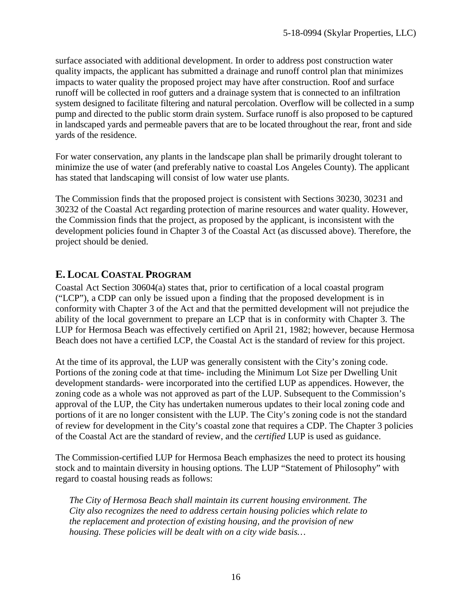surface associated with additional development. In order to address post construction water quality impacts, the applicant has submitted a drainage and runoff control plan that minimizes impacts to water quality the proposed project may have after construction. Roof and surface runoff will be collected in roof gutters and a drainage system that is connected to an infiltration system designed to facilitate filtering and natural percolation. Overflow will be collected in a sump pump and directed to the public storm drain system. Surface runoff is also proposed to be captured in landscaped yards and permeable pavers that are to be located throughout the rear, front and side yards of the residence.

For water conservation, any plants in the landscape plan shall be primarily drought tolerant to minimize the use of water (and preferably native to coastal Los Angeles County). The applicant has stated that landscaping will consist of low water use plants.

The Commission finds that the proposed project is consistent with Sections 30230, 30231 and 30232 of the Coastal Act regarding protection of marine resources and water quality. However, the Commission finds that the project, as proposed by the applicant, is inconsistent with the development policies found in Chapter 3 of the Coastal Act (as discussed above). Therefore, the project should be denied.

## <span id="page-15-0"></span>**E. LOCAL COASTAL PROGRAM**

Coastal Act Section 30604(a) states that, prior to certification of a local coastal program ("LCP"), a CDP can only be issued upon a finding that the proposed development is in conformity with Chapter 3 of the Act and that the permitted development will not prejudice the ability of the local government to prepare an LCP that is in conformity with Chapter 3. The LUP for Hermosa Beach was effectively certified on April 21, 1982; however, because Hermosa Beach does not have a certified LCP, the Coastal Act is the standard of review for this project.

At the time of its approval, the LUP was generally consistent with the City's zoning code. Portions of the zoning code at that time- including the Minimum Lot Size per Dwelling Unit development standards- were incorporated into the certified LUP as appendices. However, the zoning code as a whole was not approved as part of the LUP. Subsequent to the Commission's approval of the LUP, the City has undertaken numerous updates to their local zoning code and portions of it are no longer consistent with the LUP. The City's zoning code is not the standard of review for development in the City's coastal zone that requires a CDP. The Chapter 3 policies of the Coastal Act are the standard of review, and the *certified* LUP is used as guidance.

The Commission-certified LUP for Hermosa Beach emphasizes the need to protect its housing stock and to maintain diversity in housing options. The LUP "Statement of Philosophy" with regard to coastal housing reads as follows:

*The City of Hermosa Beach shall maintain its current housing environment. The City also recognizes the need to address certain housing policies which relate to the replacement and protection of existing housing, and the provision of new housing. These policies will be dealt with on a city wide basis…*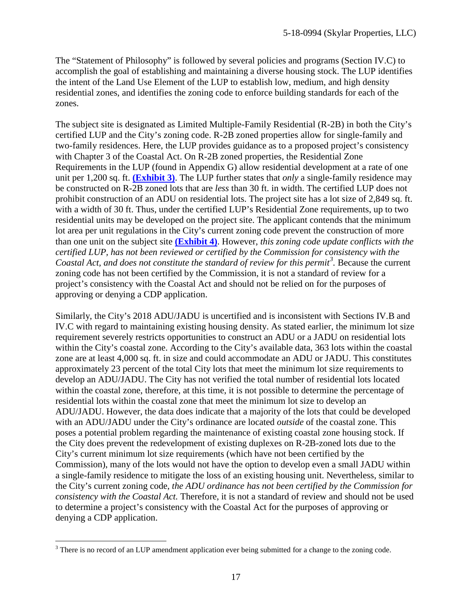The "Statement of Philosophy" is followed by several policies and programs (Section IV.C) to accomplish the goal of establishing and maintaining a diverse housing stock. The LUP identifies the intent of the Land Use Element of the LUP to establish low, medium, and high density residential zones, and identifies the zoning code to enforce building standards for each of the zones.

The subject site is designated as Limited Multiple-Family Residential (R-2B) in both the City's certified LUP and the City's zoning code. R-2B zoned properties allow for single-family and two-family residences. Here, the LUP provides guidance as to a proposed project's consistency with Chapter 3 of the Coastal Act. On R-2B zoned properties, the Residential Zone Requirements in the LUP (found in Appendix G) allow residential development at a rate of one unit per 1,200 sq. ft. **[\(Exhibit 3\)](https://documents.coastal.ca.gov/reports/2019/7/w23a/w23a-7-2019-exhibits.pdf)**. The LUP further states that *only* a single-family residence may be constructed on R-2B zoned lots that are *less* than 30 ft. in width. The certified LUP does not prohibit construction of an ADU on residential lots. The project site has a lot size of 2,849 sq. ft. with a width of 30 ft. Thus, under the certified LUP's Residential Zone requirements, up to two residential units may be developed on the project site. The applicant contends that the minimum lot area per unit regulations in the City's current zoning code prevent the construction of more than one unit on the subject site **[\(Exhibit 4\)](https://documents.coastal.ca.gov/reports/2019/7/w23a/w23a-7-2019-exhibits.pdf)**. However, *this zoning code update conflicts with the certified LUP, has not been reviewed or certified by the Commission for consistency with the Coastal Act, and does not constitute the standard of review for this permit[3](#page-16-0) .* Because the current zoning code has not been certified by the Commission, it is not a standard of review for a project's consistency with the Coastal Act and should not be relied on for the purposes of approving or denying a CDP application.

Similarly, the City's 2018 ADU/JADU is uncertified and is inconsistent with Sections IV.B and IV.C with regard to maintaining existing housing density. As stated earlier, the minimum lot size requirement severely restricts opportunities to construct an ADU or a JADU on residential lots within the City's coastal zone. According to the City's available data, 363 lots within the coastal zone are at least 4,000 sq. ft. in size and could accommodate an ADU or JADU. This constitutes approximately 23 percent of the total City lots that meet the minimum lot size requirements to develop an ADU/JADU. The City has not verified the total number of residential lots located within the coastal zone, therefore, at this time, it is not possible to determine the percentage of residential lots within the coastal zone that meet the minimum lot size to develop an ADU/JADU. However, the data does indicate that a majority of the lots that could be developed with an ADU/JADU under the City's ordinance are located *outside* of the coastal zone. This poses a potential problem regarding the maintenance of existing coastal zone housing stock. If the City does prevent the redevelopment of existing duplexes on R-2B-zoned lots due to the City's current minimum lot size requirements (which have not been certified by the Commission), many of the lots would not have the option to develop even a small JADU within a single-family residence to mitigate the loss of an existing housing unit. Nevertheless, similar to the City's current zoning code, *the ADU ordinance has not been certified by the Commission for consistency with the Coastal Act.* Therefore, it is not a standard of review and should not be used to determine a project's consistency with the Coastal Act for the purposes of approving or denying a CDP application.

<span id="page-16-0"></span> $\overline{a}$ <sup>3</sup> There is no record of an LUP amendment application ever being submitted for a change to the zoning code.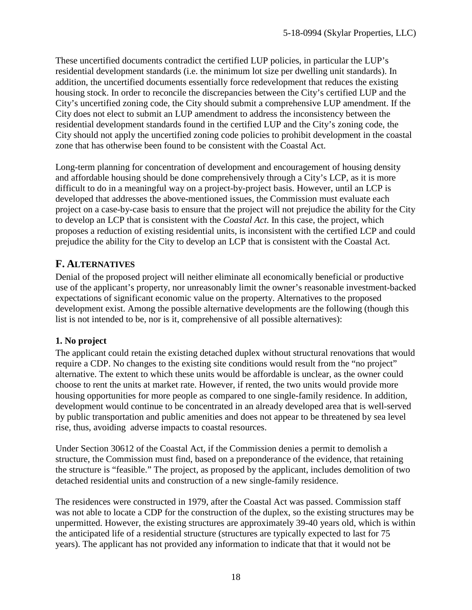These uncertified documents contradict the certified LUP policies, in particular the LUP's residential development standards (i.e. the minimum lot size per dwelling unit standards). In addition, the uncertified documents essentially force redevelopment that reduces the existing housing stock. In order to reconcile the discrepancies between the City's certified LUP and the City's uncertified zoning code, the City should submit a comprehensive LUP amendment. If the City does not elect to submit an LUP amendment to address the inconsistency between the residential development standards found in the certified LUP and the City's zoning code, the City should not apply the uncertified zoning code policies to prohibit development in the coastal zone that has otherwise been found to be consistent with the Coastal Act.

Long-term planning for concentration of development and encouragement of housing density and affordable housing should be done comprehensively through a City's LCP, as it is more difficult to do in a meaningful way on a project-by-project basis. However, until an LCP is developed that addresses the above-mentioned issues, the Commission must evaluate each project on a case-by-case basis to ensure that the project will not prejudice the ability for the City to develop an LCP that is consistent with the *Coastal Act*. In this case, the project, which proposes a reduction of existing residential units, is inconsistent with the certified LCP and could prejudice the ability for the City to develop an LCP that is consistent with the Coastal Act.

## <span id="page-17-0"></span>**F. ALTERNATIVES**

Denial of the proposed project will neither eliminate all economically beneficial or productive use of the applicant's property, nor unreasonably limit the owner's reasonable investment-backed expectations of significant economic value on the property. Alternatives to the proposed development exist. Among the possible alternative developments are the following (though this list is not intended to be, nor is it, comprehensive of all possible alternatives):

## **1. No project**

The applicant could retain the existing detached duplex without structural renovations that would require a CDP. No changes to the existing site conditions would result from the "no project" alternative. The extent to which these units would be affordable is unclear, as the owner could choose to rent the units at market rate. However, if rented, the two units would provide more housing opportunities for more people as compared to one single-family residence. In addition, development would continue to be concentrated in an already developed area that is well-served by public transportation and public amenities and does not appear to be threatened by sea level rise, thus, avoiding adverse impacts to coastal resources.

Under Section 30612 of the Coastal Act, if the Commission denies a permit to demolish a structure, the Commission must find, based on a preponderance of the evidence, that retaining the structure is "feasible." The project, as proposed by the applicant, includes demolition of two detached residential units and construction of a new single-family residence.

The residences were constructed in 1979, after the Coastal Act was passed. Commission staff was not able to locate a CDP for the construction of the duplex, so the existing structures may be unpermitted. However, the existing structures are approximately 39-40 years old, which is within the anticipated life of a residential structure (structures are typically expected to last for 75 years). The applicant has not provided any information to indicate that that it would not be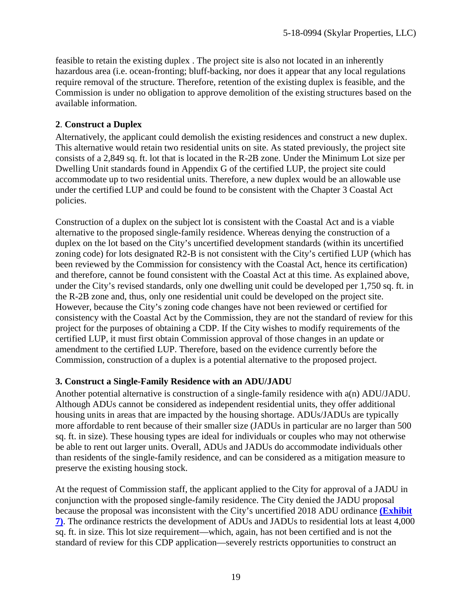feasible to retain the existing duplex . The project site is also not located in an inherently hazardous area (i.e. ocean-fronting; bluff-backing, nor does it appear that any local regulations require removal of the structure. Therefore, retention of the existing duplex is feasible, and the Commission is under no obligation to approve demolition of the existing structures based on the available information.

### **2**. **Construct a Duplex**

Alternatively, the applicant could demolish the existing residences and construct a new duplex. This alternative would retain two residential units on site. As stated previously, the project site consists of a 2,849 sq. ft. lot that is located in the R-2B zone. Under the Minimum Lot size per Dwelling Unit standards found in Appendix G of the certified LUP, the project site could accommodate up to two residential units. Therefore, a new duplex would be an allowable use under the certified LUP and could be found to be consistent with the Chapter 3 Coastal Act policies.

Construction of a duplex on the subject lot is consistent with the Coastal Act and is a viable alternative to the proposed single-family residence. Whereas denying the construction of a duplex on the lot based on the City's uncertified development standards (within its uncertified zoning code) for lots designated R2-B is not consistent with the City's certified LUP (which has been reviewed by the Commission for consistency with the Coastal Act, hence its certification) and therefore, cannot be found consistent with the Coastal Act at this time. As explained above, under the City's revised standards, only one dwelling unit could be developed per 1,750 sq. ft. in the R-2B zone and, thus, only one residential unit could be developed on the project site. However, because the City's zoning code changes have not been reviewed or certified for consistency with the Coastal Act by the Commission, they are not the standard of review for this project for the purposes of obtaining a CDP. If the City wishes to modify requirements of the certified LUP, it must first obtain Commission approval of those changes in an update or amendment to the certified LUP. Therefore, based on the evidence currently before the Commission, construction of a duplex is a potential alternative to the proposed project.

### **3. Construct a Single-Family Residence with an ADU/JADU**

Another potential alternative is construction of a single-family residence with a(n) ADU/JADU. Although ADUs cannot be considered as independent residential units, they offer additional housing units in areas that are impacted by the housing shortage. ADUs/JADUs are typically more affordable to rent because of their smaller size (JADUs in particular are no larger than 500 sq. ft. in size). These housing types are ideal for individuals or couples who may not otherwise be able to rent out larger units. Overall, ADUs and JADUs do accommodate individuals other than residents of the single-family residence, and can be considered as a mitigation measure to preserve the existing housing stock.

At the request of Commission staff, the applicant applied to the City for approval of a JADU in conjunction with the proposed single-family residence. The City denied the JADU proposal because the proposal was inconsistent with the City's uncertified 2018 ADU ordinance **[\(Exhibit](https://documents.coastal.ca.gov/reports/2019/7/w23a/w23a-7-2019-exhibits.pdf)  [7\)](https://documents.coastal.ca.gov/reports/2019/7/w23a/w23a-7-2019-exhibits.pdf)**. The ordinance restricts the development of ADUs and JADUs to residential lots at least 4,000 sq. ft. in size. This lot size requirement—which, again, has not been certified and is not the standard of review for this CDP application—severely restricts opportunities to construct an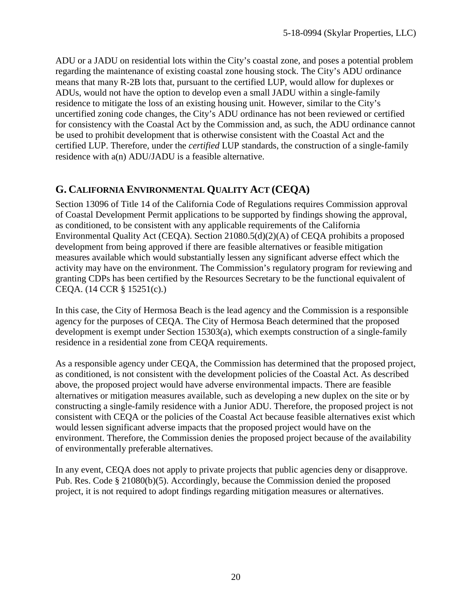ADU or a JADU on residential lots within the City's coastal zone, and poses a potential problem regarding the maintenance of existing coastal zone housing stock. The City's ADU ordinance means that many R-2B lots that, pursuant to the certified LUP, would allow for duplexes or ADUs, would not have the option to develop even a small JADU within a single-family residence to mitigate the loss of an existing housing unit. However, similar to the City's uncertified zoning code changes, the City's ADU ordinance has not been reviewed or certified for consistency with the Coastal Act by the Commission and, as such, the ADU ordinance cannot be used to prohibit development that is otherwise consistent with the Coastal Act and the certified LUP. Therefore, under the *certified* LUP standards, the construction of a single-family residence with a(n) ADU/JADU is a feasible alternative.

## <span id="page-19-0"></span>**G. CALIFORNIA ENVIRONMENTAL QUALITY ACT (CEQA)**

Section 13096 of Title 14 of the California Code of Regulations requires Commission approval of Coastal Development Permit applications to be supported by findings showing the approval, as conditioned, to be consistent with any applicable requirements of the California Environmental Quality Act (CEQA). Section 21080.5(d)(2)(A) of CEQA prohibits a proposed development from being approved if there are feasible alternatives or feasible mitigation measures available which would substantially lessen any significant adverse effect which the activity may have on the environment. The Commission's regulatory program for reviewing and granting CDPs has been certified by the Resources Secretary to be the functional equivalent of CEQA. (14 CCR § 15251(c).)

In this case, the City of Hermosa Beach is the lead agency and the Commission is a responsible agency for the purposes of CEQA. The City of Hermosa Beach determined that the proposed development is exempt under Section 15303(a), which exempts construction of a single-family residence in a residential zone from CEQA requirements.

As a responsible agency under CEQA, the Commission has determined that the proposed project, as conditioned, is not consistent with the development policies of the Coastal Act. As described above, the proposed project would have adverse environmental impacts. There are feasible alternatives or mitigation measures available, such as developing a new duplex on the site or by constructing a single-family residence with a Junior ADU. Therefore, the proposed project is not consistent with CEQA or the policies of the Coastal Act because feasible alternatives exist which would lessen significant adverse impacts that the proposed project would have on the environment. Therefore, the Commission denies the proposed project because of the availability of environmentally preferable alternatives.

In any event, CEQA does not apply to private projects that public agencies deny or disapprove. Pub. Res. Code § 21080(b)(5). Accordingly, because the Commission denied the proposed project, it is not required to adopt findings regarding mitigation measures or alternatives.